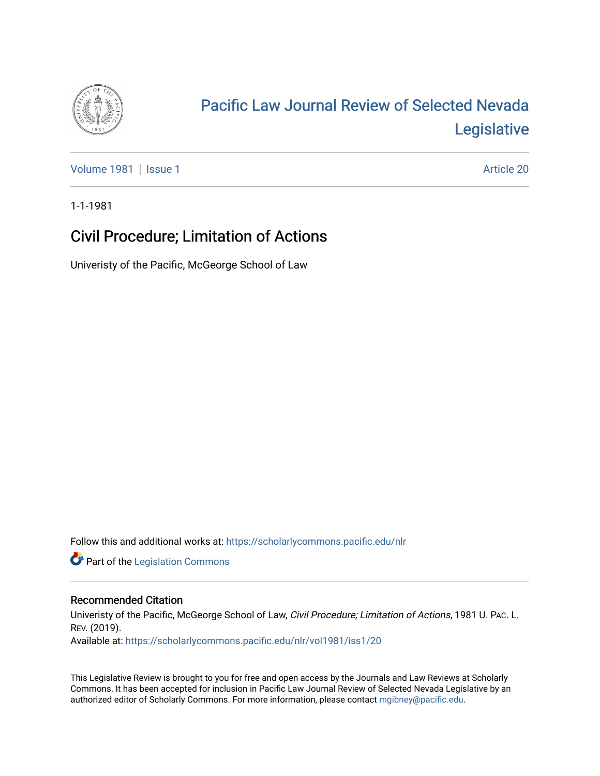

# [Pacific Law Journal Review of Selected Nevada](https://scholarlycommons.pacific.edu/nlr)  [Legislative](https://scholarlycommons.pacific.edu/nlr)

[Volume 1981](https://scholarlycommons.pacific.edu/nlr/vol1981) | [Issue 1](https://scholarlycommons.pacific.edu/nlr/vol1981/iss1) Article 20

1-1-1981

## Civil Procedure; Limitation of Actions

Univeristy of the Pacific, McGeorge School of Law

Follow this and additional works at: [https://scholarlycommons.pacific.edu/nlr](https://scholarlycommons.pacific.edu/nlr?utm_source=scholarlycommons.pacific.edu%2Fnlr%2Fvol1981%2Fiss1%2F20&utm_medium=PDF&utm_campaign=PDFCoverPages) 

**Part of the [Legislation Commons](http://network.bepress.com/hgg/discipline/859?utm_source=scholarlycommons.pacific.edu%2Fnlr%2Fvol1981%2Fiss1%2F20&utm_medium=PDF&utm_campaign=PDFCoverPages)** 

### Recommended Citation

Univeristy of the Pacific, McGeorge School of Law, Civil Procedure; Limitation of Actions, 1981 U. PAC. L. REV. (2019). Available at: [https://scholarlycommons.pacific.edu/nlr/vol1981/iss1/20](https://scholarlycommons.pacific.edu/nlr/vol1981/iss1/20?utm_source=scholarlycommons.pacific.edu%2Fnlr%2Fvol1981%2Fiss1%2F20&utm_medium=PDF&utm_campaign=PDFCoverPages)

This Legislative Review is brought to you for free and open access by the Journals and Law Reviews at Scholarly Commons. It has been accepted for inclusion in Pacific Law Journal Review of Selected Nevada Legislative by an authorized editor of Scholarly Commons. For more information, please contact [mgibney@pacific.edu](mailto:mgibney@pacific.edu).